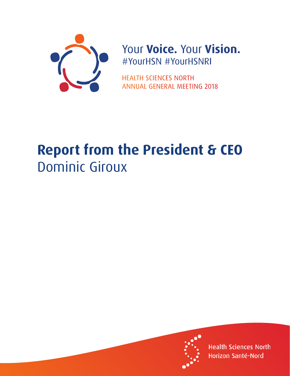

## Your Voice. Your Vision. #YourHSN #YourHSNRI

**HEALTH SCIENCES NORTH ANNUAL GENERAL MEETING 2018** 

## **Report from the President & CEO** Dominic Giroux



**Health Sciences North** Horizon Santé-Nord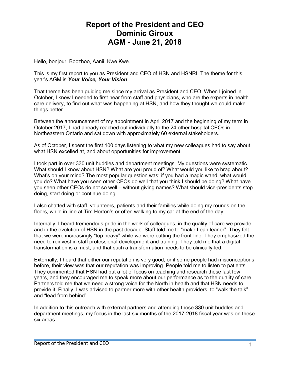## **Report of the President and CEO Dominic Giroux AGM - June 21, 2018**

Hello, bonjour, Boozhoo, Aanii, Kwe Kwe.

This is my first report to you as President and CEO of HSN and HSNRI. The theme for this year's AGM is *Your Voice, Your Vision*.

That theme has been guiding me since my arrival as President and CEO. When I joined in October, I knew I needed to first hear from staff and physicians, who are the experts in health care delivery, to find out what was happening at HSN, and how they thought we could make things better.

Between the announcement of my appointment in April 2017 and the beginning of my term in October 2017, I had already reached out individually to the 24 other hospital CEOs in Northeastern Ontario and sat down with approximately 60 external stakeholders.

As of October, I spent the first 100 days listening to what my new colleagues had to say about what HSN excelled at, and about opportunities for improvement.

I took part in over 330 unit huddles and department meetings. My questions were systematic. What should I know about HSN? What are you proud of? What would you like to brag about? What's on your mind? The most popular question was: if you had a magic wand, what would you do? What have you seen other CEOs do well that you think I should be doing? What have you seen other CEOs do not so well – without giving names? What should vice-presidents stop doing, start doing or continue doing.

I also chatted with staff, volunteers, patients and their families while doing my rounds on the floors, while in line at Tim Horton's or often walking to my car at the end of the day.

Internally, I heard tremendous pride in the work of colleagues, in the quality of care we provide and in the evolution of HSN in the past decade. Staff told me to "make Lean leaner". They felt that we were increasingly "top heavy" while we were cutting the front-line. They emphasized the need to reinvest in staff professional development and training. They told me that a digital transformation is a must, and that such a transformation needs to be clinically-led.

Externally, I heard that either our reputation is very good, or if some people had misconceptions before, their view was that our reputation was improving. People told me to listen to patients. They commented that HSN had put a lot of focus on teaching and research these last few years, and they encouraged me to speak more about our performance as to the quality of care. Partners told me that we need a strong voice for the North in health and that HSN needs to provide it. Finally, I was advised to partner more with other health providers, to "walk the talk" and "lead from behind".

In addition to this outreach with external partners and attending those 330 unit huddles and department meetings, my focus in the last six months of the 2017-2018 fiscal year was on these six areas.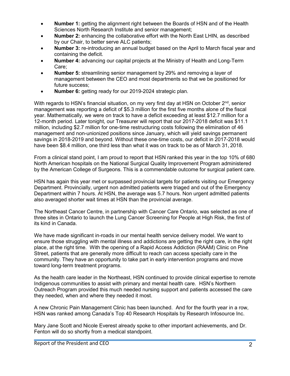- **Number 1:** getting the alignment right between the Boards of HSN and of the Health Sciences North Research Institute and senior management;
- **Number 2:** enhancing the collaborative effort with the North East LHIN, as described by our Chair, to better serve ALC patients;
- **Number 3:** re-introducing an annual budget based on the April to March fiscal year and containing the deficit.
- **Number 4:** advancing our capital projects at the Ministry of Health and Long-Term Care;
- **Number 5:** streamlining senior management by 29% and removing a layer of management between the CEO and most departments so that we be positioned for future success;
- **Number 6:** getting ready for our 2019-2024 strategic plan.

With regards to HSN's financial situation, on my very first day at HSN on October 2<sup>nd</sup>, senior management was reporting a deficit of \$5.3 million for the first five months alone of the fiscal year. Mathematically, we were on track to have a deficit exceeding at least \$12.7 million for a 12-month period. Later tonight, our Treasurer will report that our 2017-2018 deficit was \$11.1 million, including \$2.7 million for one-time restructuring costs following the elimination of 46 management and non-unionized positions since January, which will yield savings permanent savings in 2018-2019 and beyond. Without these one-time costs, our deficit in 2017-2018 would have been \$8.4 million, one third less than what it was on track to be as of March 31, 2018.

From a clinical stand point, I am proud to report that HSN ranked this year in the top 10% of 680 North American hospitals on the National Surgical Quality Improvement Program administered by the American College of Surgeons. This is a commendable outcome for surgical patient care.

HSN has again this year met or surpassed provincial targets for patients visiting our Emergency Department. Provincially, urgent non admitted patients were triaged and out of the Emergency Department within 7 hours. At HSN, the average was 5.7 hours. Non urgent admitted patients also averaged shorter wait times at HSN than the provincial average.

The Northeast Cancer Centre, in partnership with Cancer Care Ontario, was selected as one of three sites in Ontario to launch the Lung Cancer Screening for People at High Risk, the first of its kind in Canada.

We have made significant in-roads in our mental health service delivery model. We want to ensure those struggling with mental illness and addictions are getting the right care, in the right place, at the right time. With the opening of a Rapid Access Addiction (RAAM) Clinic on Pine Street, patients that are generally more difficult to reach can access specialty care in the community. They have an opportunity to take part in early intervention programs and move toward long-term treatment programs.

As the health care leader in the Northeast, HSN continued to provide clinical expertise to remote Indigenous communities to assist with primary and mental health care. HSN's Northern Outreach Program provided this much needed nursing support and patients accessed the care they needed, when and where they needed it most.

A new Chronic Pain Management Clinic has been launched. And for the fourth year in a row, HSN was ranked among Canada's Top 40 Research Hospitals by Research Infosource Inc.

Mary Jane Scott and Nicole Everest already spoke to other important achievements, and Dr. Fenton will do so shortly from a medical standpoint.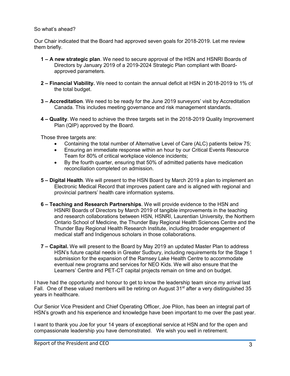## So what's ahead?

Our Chair indicated that the Board had approved seven goals for 2018-2019. Let me review them briefly.

- **1 A new strategic plan**. We need to secure approval of the HSN and HSNRI Boards of Directors by January 2019 of a 2019-2024 Strategic Plan compliant with Boardapproved parameters.
- **2 Financial Viability.** We need to contain the annual deficit at HSN in 2018-2019 to 1% of the total budget.
- **3 Accreditation**. We need to be ready for the June 2019 surveyors' visit by Accreditation Canada. This includes meeting governance and risk management standards.
- **4 Quality**. We need to achieve the three targets set in the 2018-2019 Quality Improvement Plan (QIP) approved by the Board.

Those three targets are:

- Containing the total number of Alternative Level of Care (ALC) patients below 75;
- Ensuring an immediate response within an hour by our Critical Events Resource Team for 80% of critical workplace violence incidents;
- By the fourth quarter, ensuring that 50% of admitted patients have medication reconciliation completed on admission.
- **5 Digital Health**. We will present to the HSN Board by March 2019 a plan to implement an Electronic Medical Record that improves patient care and is aligned with regional and provincial partners' health care information systems.
- **6 Teaching and Research Partnerships**. We will provide evidence to the HSN and HSNRI Boards of Directors by March 2019 of tangible improvements in the teaching and research collaborations between HSN, HSNRI, Laurentian University, the Northern Ontario School of Medicine, the Thunder Bay Regional Health Sciences Centre and the Thunder Bay Regional Health Research Institute, including broader engagement of medical staff and Indigenous scholars in those collaborations.
- **7 Capital.** We will present to the Board by May 2019 an updated Master Plan to address HSN's future capital needs in Greater Sudbury, including requirements for the Stage 1 submission for the expansion of the Ramsey Lake Health Centre to accommodate eventual new programs and services for NEO Kids. We will also ensure that the Learners' Centre and PET-CT capital projects remain on time and on budget.

I have had the opportunity and honour to get to know the leadership team since my arrival last Fall. One of these valued members will be retiring on August 31<sup>st</sup> after a very distinguished 35 years in healthcare.

Our Senior Vice President and Chief Operating Officer, Joe Pilon, has been an integral part of HSN's growth and his experience and knowledge have been important to me over the past year.

I want to thank you Joe for your 14 years of exceptional service at HSN and for the open and compassionate leadership you have demonstrated. We wish you well in retirement.